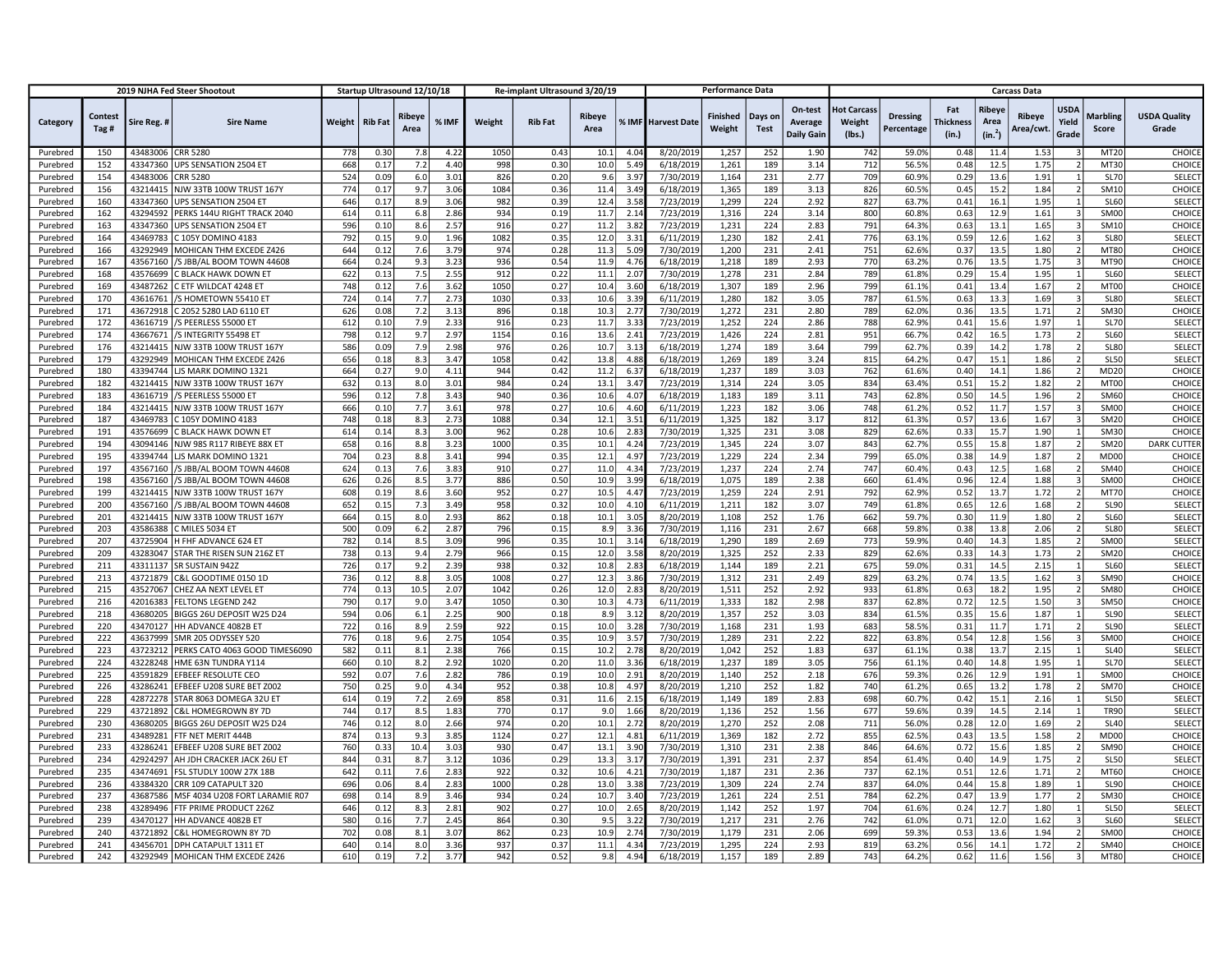|                      |                 |                      | 2019 NJHA Fed Steer Shootout                |            | Startup Ultrasound 12/10/18 |                |              |            | Re-implant Ultrasound 3/20/19 |                |                  |                        | <b>Performance Data</b>   |                        |                                         |                                        |                               |                           |                                       | <b>Carcass Data</b>       |                                 |                            |                              |
|----------------------|-----------------|----------------------|---------------------------------------------|------------|-----------------------------|----------------|--------------|------------|-------------------------------|----------------|------------------|------------------------|---------------------------|------------------------|-----------------------------------------|----------------------------------------|-------------------------------|---------------------------|---------------------------------------|---------------------------|---------------------------------|----------------------------|------------------------------|
| Category             | Contest<br>Tag# | Sire Reg. #          | <b>Sire Name</b>                            | Weight     | <b>Rib Fat</b>              | Ribeye<br>Area | % IMF        | Weight     | <b>Rib Fat</b>                | Ribeye<br>Area |                  | % IMF Harvest Date     | <b>Finished</b><br>Weight | Days on<br><b>Test</b> | On-test<br>Average<br><b>Daily Gain</b> | <b>Hot Carcass</b><br>Weight<br>(Ibs.) | <b>Dressing</b><br>Percentage | Fat<br>Thickness<br>(in.) | Ribeye<br>Area<br>(in. <sup>2</sup> ) | <b>Ribeye</b><br>Area/cwt | <b>USDA</b><br>Yield<br>Grade   | <b>Marbling</b><br>Score   | <b>USDA Quality</b><br>Grade |
| Purebred             | 150             | 43483006             | <b>CRR 5280</b>                             | 778        | 0.30                        | 7.8            | 4.2          | 1050       | 0.43                          | 10.1           | 40               | 8/20/2019              | 1,257                     | 252                    | 1.90                                    | 742                                    | 59.0%                         | 0.48                      | 11.4                                  | 1.53                      |                                 | MT20                       | CHOICE                       |
| Purebred             | 152             | 43347360             | UPS SENSATION 2504 ET                       | 668        | 0.17                        | 7.2            | 4.40         | 998        | 0.30                          | 10.0           | 5.4              | 6/18/2019              | 1,261                     | 189                    | 3.14                                    | 712                                    | 56.5%                         | 0.48                      | 12.5                                  | 1.75                      | $\overline{2}$                  | MT30                       | CHOICE                       |
| Purebred             | 154             | 43483006             | <b>CRR 5280</b>                             | 524        | 0.09                        | 6.0            | 3.01         | 826        | 0.20                          | 9.6            | 3.9              | 7/30/2019              | 1,164                     | 231                    | 2.77                                    | 709                                    | 60.9%                         | 0.29                      | 13.6                                  | 1.91                      |                                 | <b>SL70</b>                | SELECT                       |
| Purebred             | 156             | 43214415             | NJW 33TB 100W TRUST 167Y                    | 774        | 0.17                        | 9.7            | 3.06         | 1084       | 0.36                          | 11.4           | 3.4              | 6/18/2019              | 1,365                     | 189                    | 3.13                                    | 826                                    | 60.5%                         | 0.45                      | 15.2                                  | 1.84                      | $\overline{\mathbf{z}}$         | SM10                       | CHOICE                       |
| Purebred             | 160             | 43347360             | UPS SENSATION 2504 ET                       | 646        | 0.17                        | 8.9            | 3.06         | 982        | 0.39                          | 12.4           | 3.5              | 7/23/2019              | 1,299                     | 224                    | 2.92                                    | 827                                    | 63.7%                         | 0.41                      | 16.1                                  | 1.95                      |                                 | <b>SL60</b>                | SELECT                       |
| Purebred             | 162             | 43294592             | PERKS 144U RIGHT TRACK 2040                 | 614        | 0.11                        | 6.8            | 2.86         | 934        | 0.19                          | 11.7           | 2.1              | 7/23/2019              | 1,316                     | 224                    | 3.14                                    | 800                                    | 60.8%                         | 0.63                      | 12.9                                  | 1.61                      | з                               | SM00                       | CHOICE                       |
| Purebred             | 163             | 43347360             | UPS SENSATION 2504 ET                       | 596        | 0.10                        | 8.6            | 2.5          | 916        | 0.27                          | 11.2           | 3.8              | 7/23/2019              | 1,231                     | 224                    | 2.83                                    | 791                                    | 64.3%                         | 0.63                      | 13.1                                  | 1.65                      | $\overline{\mathbf{3}}$         | SM10                       | CHOICE                       |
| Purebred             | 164             | 43469783             | C 105Y DOMINO 4183                          | 792        | 0.15                        | 9.0            | 1.96         | 1082       | 0.35                          | 12.0           | 3.3              | 6/11/2019              | 1,230                     | 182                    | 2.41                                    | 776                                    | 63.1%                         | 0.59                      | 12.6                                  | 1.62                      | з                               | <b>SL80</b>                | <b>SELECT</b>                |
| Purebred             | 166             | 43292949             | MOHICAN THM EXCEDE Z426                     | 644        | 0.12                        | 7.6            | 3.79         | 974        | 0.28                          | 11.3           | 5.0              | 7/30/2019              | 1,200                     | 231                    | 2.41                                    | 751                                    | 62.6%                         | 0.37                      | 13.5                                  | 1.80                      |                                 | MT80                       | CHOICE                       |
| Purebred             | 167             | 43567160             | /S JBB/AL BOOM TOWN 44608                   | 664        | 0.24                        | 9.3            | 3.23         | 936        | 0.54                          | 11.9           | 4.7 <sup>0</sup> | 6/18/2019              | 1,218                     | 189                    | 2.93                                    | 770                                    | 63.2%                         | 0.76                      | 13.5                                  | 1.75                      | з                               | MT90                       | CHOICE                       |
| Purebred             | 168             | 43576699             | <b>BLACK HAWK DOWN ET</b>                   | 622        | 0.13                        | 7.5            | 2.55         | 912        | 0.22                          | 11.1           | 2.0              | 7/30/2019              | 1,278                     | 231                    | 2.84                                    | 789                                    | 61.8%                         | 0.29                      | 15.4                                  | 1.95                      |                                 | <b>SL60</b>                | <b>SELECT</b>                |
| Purebred             | 169             | 43487262             | C ETF WILDCAT 4248 ET                       | 748        | 0.12                        | 7.6            | 3.62         | 1050       | 0.27                          | 10.4           | 3.6              | 6/18/2019              | 1,307                     | 189                    | 2.96                                    | 799                                    | 61.1%                         | 0.41                      | 13.4                                  | 1.67                      | $\overline{\phantom{a}}$        | MT00                       | CHOICE                       |
| Purebred             | 170             | 43616761             | /S HOMETOWN 55410 ET                        | 724        | 0.14                        | 7.7            | 2.73         | 1030       | 0.33                          | 10.6           | 3.3              | 6/11/2019              | 1.280                     | 182                    | 3.05                                    | 787                                    | 61.5%                         | 0.63                      | 13.3                                  | 1.69                      | $\overline{\mathbf{3}}$         | <b>SL80</b>                | SELECT                       |
| Purebred             | 171             | 43672918             | C 2052 5280 LAD 6110 ET                     | 626        | 0.08                        | 7.2            | 3.1          | 896        | 0.18                          | 10.3           | 2.7              | 7/30/2019              | 1,272                     | 231                    | 2.80                                    | 789                                    | 62.0%                         | 0.36                      | 13.5                                  | 1.71                      | 2 <sup>1</sup>                  | <b>SM30</b>                | CHOICE                       |
| Purebred             | 172             | 43616719             | S PEERLESS 55000 ET                         | 612        | 0.10                        | 7.9            | 2.33         | 916        | 0.23                          | 11.7           | 3.3              | 7/23/2019              | 1,252                     | 224                    | 2.86                                    | 788                                    | 62.9%                         | 0.41                      | 15.6                                  | 1.97                      |                                 | <b>SL70</b>                | SELECT                       |
| Purebred             | 174             | 43667671             | S INTEGRITY 55498 ET                        | 798        | 0.12                        | 9.7            | 2.97         | 1154       | 0.16                          | 13.6           | 2.4              | 7/23/2019              | 1,426                     | 224                    | 2.81                                    | 951                                    | 66.7%                         | 0.42                      | 16.5                                  | 1.73                      | $\overline{2}$                  | <b>SL60</b>                | SELECT                       |
| Purebred             | 176             | 43214415             | NJW 33TB 100W TRUST 167Y                    | 586        | 0.09                        | 7.9            | 2.98         | 976        | 0.26                          | 10.7           | 3.1              | 6/18/2019              | 1,274                     | 189                    | 3.64                                    | 799                                    | 62.7%                         | 0.39                      | 14.2                                  | 1.78                      | $\overline{2}$                  | <b>SL80</b>                | SELECT                       |
| Purebred             | 179             | 43292949             | MOHICAN THM EXCEDE Z426                     | 656        | 0.18                        | 8.3            | 3.47         | 1058       | 0.42                          | 13.8           | 4.8              | 6/18/2019              | 1,269                     | 189                    | 3.24                                    | 815                                    | 64.2%                         | 0.47                      | 15.1                                  | 1.86                      | $\overline{\phantom{a}}$        | <b>SL50</b>                | SELECT                       |
| Purebred             | 180             | 43394744             | LIS MARK DOMINO 1321                        | 664        | 0.27                        | 9.0            | 4.11         | 944        | 0.42                          | 11.2           | 6.3              | 6/18/2019              | 1,237                     | 189                    | 3.03                                    | 762                                    | 61.6%                         | 0.40                      | 14.1                                  | 1.86                      | $\mathcal{L}$                   | MD20                       | CHOICE                       |
| Purebred             | 182             | 43214415             | NJW 33TB 100W TRUST 167Y                    | 632        | 0.13                        | 8.0            | 3.01         | 984        | 0.24                          | 13.1           | 3.4              | 7/23/2019              | 1,314                     | 224                    | 3.05                                    | 834                                    | 63.4%                         | 0.51                      | 15.2                                  | 1.82                      | $\overline{2}$                  | MT00                       | CHOICE                       |
| Purebred             | 183             | 43616719             | /S PEERLESS 55000 ET                        | 596        | 0.12                        | 7.8            | 3.43         | 940        | 0.36                          | 10.6           | 4.0              | 6/18/2019              | 1,183                     | 189                    | 3.11                                    | 743                                    | 62.8%                         | 0.50                      | 14.5                                  | 1.96                      | $\overline{\phantom{a}}$        | SM60                       | CHOICE                       |
| Purebred             | 184             | 43214415             | NJW 33TB 100W TRUST 167Y                    | 666        | 0.10                        | 7.7            | 3.61         | 978        | 0.27                          | 10.6           | 4.6              | 6/11/2019              | 1,223                     | 182                    | 3.06                                    | 748                                    | 61.2%                         | 0.52                      | 11.7                                  | 1.57                      | 3                               | <b>SM00</b>                | CHOICE                       |
| Purebred             | 187             | 43469783             | C 105Y DOMINO 4183                          | 748        | 0.18                        | 8.3            | 2.73         | 1088       | 0.34                          | 12.1           | 3.5              | 6/11/2019              | 1,325                     | 182                    | 3.17                                    | 812                                    | 61.3%                         | 0.57                      | 13.6                                  | 1.67                      | з                               | <b>SM20</b>                | CHOICE                       |
| Purebred             | 191             | 43576699             | C BLACK HAWK DOWN ET                        | 614        | 0.14                        | 8.3            | 3.00         | 962        | 0.28                          | 10.6           | 2.8              | 7/30/2019              | 1,325                     | 231                    | 3.08                                    | 829                                    | 62.6%                         | 0.33                      | 15.7                                  | 1.90                      | 1                               | <b>SM30</b>                | CHOICE                       |
| Purebred             | 194             | 43094146             | NJW 98S R117 RIBEYE 88X ET                  | 658        | 0.16                        | 8.8            | 3.25         | 1000       | 0.35                          | 10.1           | 4.2              | 7/23/2019              | 1,345                     | 224                    | 3.07                                    | 843                                    | 62.7%                         | 0.55                      | 15.8                                  | 1.87                      | $\mathcal{L}$                   | <b>SM20</b>                | <b>DARK CUTTER</b>           |
| Purebred             | 195             | 43394744             | LJS MARK DOMINO 1321                        | 704        | 0.23                        | 8.8            | 3.41         | 994        | 0.35                          | 12.1           | 4.9              | 7/23/2019              | 1,229                     | 224                    | 2.34                                    | 799                                    | 65.0%                         | 0.38                      | 14.9                                  | 1.87                      | $\overline{2}$                  | MD00                       | <b>CHOICE</b>                |
| Purebred             | 197             | 43567160             | S JBB/AL BOOM TOWN 44608                    | 624        | 0.13                        | 7.6            | 3.8          | 910        | 0.27                          | 11.0           | 4.3              | 7/23/2019              | 1,237                     | 224                    | 2.74                                    | 747                                    | 60.4%                         | 0.43                      | 12.5                                  | 1.68                      | $\overline{\phantom{a}}$        | <b>SM40</b>                | CHOICE                       |
| Purebred             | 198             | 43567160             | S JBB/AL BOOM TOWN 44608                    | 626        | 0.26                        | 8.5            | 3.77         | 886        | 0.50                          | 10.9           | 3.9              | 6/18/2019              | 1,075                     | 189                    | 2.38                                    | 660                                    | 61.4%                         | 0.96                      | 12.4                                  | 1.88                      | 3                               | SM00                       | CHOICE                       |
| Purebred             | 199             | 43214415             | NJW 33TB 100W TRUST 167Y                    | 608        | 0.19                        | 8.6            | 3.60         | 952        | 0.27                          | 10.5           | 4.4              | 7/23/2019              | 1,259                     | 224                    | 2.91                                    | 792                                    | 62.9%                         | 0.52                      | 13.7                                  | 1.72                      | $\mathcal{P}$<br>$\overline{ }$ | <b>MT70</b>                | CHOICE                       |
| Purebred             | 200             | 43567160             | /S JBB/AL BOOM TOWN 44608                   | 652        | 0.15                        | 7.3            | 3.49         | 958        | 0.32                          | 10.0           | 4.1              | 6/11/2019              | 1,211                     | 182                    | 3.07                                    | 749                                    | 61.8%                         | 0.65                      | 12.6                                  | 1.68                      | $\mathcal{L}$                   | <b>SL90</b>                | SELECT                       |
| Purebred             | 201<br>203      | 43214415<br>43586388 | NJW 33TB 100W TRUST 167Y<br>C MILES 5034 ET | 664<br>500 | 0.15<br>0.09                | 8.0<br>6.2     | 2.93<br>2.87 | 862<br>796 | 0.18<br>0.15                  | 10.1           | 3.0<br>3.3       | 8/20/2019<br>7/30/2019 | 1,108                     | 252<br>231             | 1.76<br>2.67                            | 662<br>668                             | 59.7%<br>59.8%                | 0.30<br>0.38              | 11.9<br>13.8                          | 1.80<br>2.06              | $\overline{2}$                  | <b>SL60</b><br><b>SL80</b> | SELECT<br><b>SELECT</b>      |
| Purebred<br>Purebred | 207             | 43725904             | H FHF ADVANCE 624 ET                        | 782        | 0.14                        | 8.5            | 3.09         | 996        | 0.35                          | 8.9<br>10.1    | 3.1              | 6/18/2019              | 1,116<br>1,290            | 189                    | 2.69                                    | 773                                    | 59.9%                         | 0.40                      | 14.3                                  | 1.85                      | $\overline{2}$                  | <b>SM00</b>                | SELECT                       |
| Purebred             | 209             | 43283047             | STAR THE RISEN SUN 216Z ET                  | 738        | 0.13                        | 9.4            | 2.79         | 966        | 0.15                          | 12.0           | 3.5              | 8/20/2019              | 1,325                     | 252                    | 2.33                                    | 829                                    | 62.6%                         | 0.33                      | 14.3                                  | 1.73                      | $\overline{2}$                  | <b>SM20</b>                | CHOICE                       |
| Purebred             | 211             | 43311137             | SR SUSTAIN 942Z                             | 726        | 0.17                        | 9.2            | 2.39         | 938        | 0.32                          | 10.8           | 2.8              | 6/18/2019              | 1,144                     | 189                    | 2.21                                    | 675                                    | 59.0%                         | 0.31                      | 14.5                                  | 2.15                      |                                 | <b>SL60</b>                | <b>SELECT</b>                |
| Purebred             | 213             | 43721879             | C&L GOODTIME 0150 1D                        | 736        | 0.12                        | 8.8            | 3.05         | 1008       | 0.27                          | 12.3           | 3.8              | 7/30/2019              | 1,312                     | 231                    | 2.49                                    | 829                                    | 63.2%                         | 0.74                      | 13.5                                  | 1.62                      | $\overline{\mathbf{a}}$         | SM90                       | CHOICE                       |
| Purebred             | 215             | 43527067             | CHEZ AA NEXT LEVEL ET                       | 774        | 0.13                        | 10.5           | 2.07         | 1042       | 0.26                          | 12.0           | 2.8              | 8/20/2019              | 1,511                     | 252                    | 2.92                                    | 933                                    | 61.8%                         | 0.63                      | 18.2                                  | 1.95                      | $\overline{\phantom{a}}$        | <b>SM80</b>                | CHOICE                       |
| Purebred             | 216             | 42016383             | <b>FELTONS LEGEND 242</b>                   | 790        | 0.17                        | 9.0            | 3.47         | 1050       | 0.30                          | 10.3           | 4.7              | 6/11/2019              | 1,333                     | 182                    | 2.98                                    | 837                                    | 62.8%                         | 0.72                      | 12.5                                  | 1.50                      | 3                               | <b>SM50</b>                | CHOICE                       |
| Purebred             | 218             | 43680205             | BIGGS 26U DEPOSIT W25 D24                   | 594        | 0.06                        | 6.1            | 2.25         | 900        | 0.18                          | 8.9            | 3.1              | 8/20/2019              | 1,357                     | 252                    | 3.03                                    | 834                                    | 61.5%                         | 0.35                      | 15.6                                  | 1.87                      | 1                               | <b>SL90</b>                | SELECT                       |
| Purebred             | 220             | 43470127             | HH ADVANCE 4082B ET                         | 722        | 0.16                        | 8.9            | 2.59         | 922        | 0.15                          | 10.0           | 3.2              | 7/30/2019              | 1,168                     | 231                    | 1.93                                    | 683                                    | 58.5%                         | 0.31                      | 11.7                                  | 1.71                      | $\overline{2}$                  | SL90                       | <b>SELECT</b>                |
| Purebred             | 222             | 43637999             | SMR 205 ODYSSEY 520                         | 776        | 0.18                        | 9.6            | 2.75         | 1054       | 0.35                          | 10.9           | 3.5              | 7/30/2019              | 1,289                     | 231                    | 2.22                                    | 822                                    | 63.8%                         | 0.54                      | 12.8                                  | 1.56                      | 3                               | <b>SM00</b>                | CHOICE                       |
| Purebred             | 223             | 43723212             | PERKS CATO 4063 GOOD TIMES6090              | 582        | 0.11                        | 8.1            | 2.38         | 766        | 0.15                          | 10.2           | 2.75             | 8/20/2019              | 1,042                     | 252                    | 1.83                                    | 637                                    | 61.1%                         | 0.38                      | 13.7                                  | 2.15                      | 1 <sup>1</sup>                  | <b>SL40</b>                | <b>SELECT</b>                |
| Purebred             | 224             | 43228248             | HME 63N TUNDRA Y114                         | 660        | 0.10                        | 8.2            | 2.92         | 1020       | 0.20                          | 11.0           | 3.3              | 6/18/2019              | 1,237                     | 189                    | 3.05                                    | 756                                    | 61.1%                         | 0.40                      | 14.8                                  | 1.95                      |                                 | <b>SL70</b>                | SELECT                       |
| Purebred             | 225             | 43591829             | EFBEEF RESOLUTE CEO                         | 592        | 0.07                        | 7.6            | 2.8          | 786        | 0.19                          | 10.0           | 2.9              | 8/20/2019              | 1,140                     | 252                    | 2.18                                    | 676                                    | 59.3%                         | 0.26                      | 12.9                                  | 1.91                      | 1                               | <b>SM00</b>                | CHOICE                       |
| Purebred             | 226             | 43286241             | EFBEEF U208 SURE BET Z002                   | 750        | 0.25                        | 9.0            | 4.34         | 952        | 0.38                          | 10.8           | 4.9              | 8/20/2019              | 1,210                     | 252                    | 1.82                                    | 740                                    | 61.2%                         | 0.65                      | 13.2                                  | 1.78                      | $\overline{2}$                  | <b>SM70</b>                | CHOICE                       |
| Purebred             | 228             | 42872278             | STAR 8063 DOMEGA 32U ET                     | 614        | 0.19                        | 7.2            | 2.69         | 858        | 0.31                          | 11.6           | 2.1              | 6/18/2019              | 1,149                     | 189                    | 2.83                                    | 698                                    | 60.7%                         | 0.42                      | 15.1                                  | 2.16                      |                                 | <b>SL50</b>                | SELECT                       |
| Purebred             | 229             | 43721892             | C&L HOMEGROWN 8Y 7D                         | 744        | 0.17                        | 8.5            | 1.83         | 770        | 0.17                          | 9.0            | 1.6              | 8/20/2019              | 1,136                     | 252                    | 1.56                                    | 677                                    | 59.6%                         | 0.39                      | 14.5                                  | 2.14                      | 1                               | <b>TR90</b>                | SELECT                       |
| Purebred             | 230             | 43680205             | BIGGS 26U DEPOSIT W25 D24                   | 746        | 0.12                        | 8.0            | 2.66         | 974        | 0.20                          | 10.1           | 2.7              | 8/20/2019              | 1,270                     | 252                    | 2.08                                    | 711                                    | 56.0%                         | 0.28                      | 12.0                                  | 1.69                      | $\overline{\mathcal{L}}$        | <b>SL40</b>                | SELECT                       |
| Purebred             | 231             | 43489281             | FTF NET MERIT 444B                          | 874        | 0.13                        | 9.3            | 3.8          | 1124       | 0.27                          | 12.1           | 4.8              | 6/11/2019              | 1,369                     | 182                    | 2.72                                    | 855                                    | 62.5%                         | 0.43                      | 13.5                                  | 1.58                      | $\overline{2}$                  | MD00                       | CHOICE                       |
| Purebred             | 233             | 43286241             | EFBEEF U208 SURE BET Z002                   | 760        | 0.33                        | 10.4           | 3.03         | 930        | 0.47                          | 13.1           | 3.9              | 7/30/2019              | 1,310                     | 231                    | 2.38                                    | 846                                    | 64.6%                         | 0.72                      | 15.6                                  | 1.85                      | $\overline{2}$                  | <b>SM90</b>                | CHOICE                       |
| Purebred             | 234             |                      | 42924297 AH JDH CRACKER JACK 26U ET         | 844        | 0.31                        | 8.7            | 3.12         | 1036       | 0.29                          | 13.3           | 3.1              | 7/30/2019              | 1,391                     | 231                    | 2.37                                    | 854                                    | 61.4%                         | 0.40                      | 14.9                                  | 1.75                      | $\overline{2}$                  | <b>SL50</b>                | SELECT                       |
| Purebred             | 235             | 43474691             | FSL STUDLY 100W 27X 18B                     | 642        | 0.11                        | 7.6            | 2.8          | 922        | 0.32                          | 10.6           | 4.2              | 7/30/2019              | 1,187                     | 231                    | 2.36                                    | 737                                    | 62.1%                         | 0.51                      | 12.6                                  | 1.71                      | $\overline{\phantom{a}}$        | MT60                       | CHOICE                       |
| Purebred             | 236             | 43384320             | CRR 109 CATAPULT 320                        | 696        | 0.06                        | 8.4            | 2.83         | 1000       | 0.28                          | 13.0           | 3.3              | 7/23/2019              | 1,309                     | 224                    | 2.74                                    | 837                                    | 64.0%                         | 0.44                      | 15.8                                  | 1.89                      |                                 | <b>SL90</b>                | CHOICE                       |
| Purebred             | 237             | 43687586             | MSF 4034 U208 FORT LARAMIE R07              | 698        | 0.14                        | 8.9            | 3.46         | 934        | 0.24                          | 10.7           | 3.4              | 7/23/2019              | 1,261                     | 224                    | 2.51                                    | 784                                    | 62.2%                         | 0.47                      | 13.9                                  | 1.77                      | $\overline{2}$                  | <b>SM30</b>                | CHOICE                       |
| Purebred             | 238             | 43289496             | FTF PRIME PRODUCT 226Z                      | 646        | 0.12                        | 8.3            | 2.8          | 902        | 0.27                          | 10.0           | 2.6              | 8/20/2019              | 1,142                     | 252                    | 1.97                                    | 704                                    | 61.6%                         | 0.24                      | 12.7                                  | 1.80                      |                                 | SL50                       | SELECT                       |
| Purebred             | 239             |                      | 43470127 HH ADVANCE 4082B ET                | 580        | 0.16                        | 7.7            | 2.45         | 864        | 0.30                          | 9.5            | 3.2              | 7/30/2019              | 1,217                     | 231                    | 2.76                                    | 742                                    | 61.0%                         | 0.71                      | 12.0                                  | 1.62                      | 3                               | <b>SL60</b>                | SELECT                       |
| Purebred             | 240             | 43721892             | C&L HOMEGROWN 8Y 7D                         | 702        | 0.08                        | 8.1            | 3.07         | 862        | 0.23                          | 10.9           | 2.7              | 7/30/2019              | 1,179                     | 231                    | 2.06                                    | 699                                    | 59.3%                         | 0.53                      | 13.6                                  | 1.94                      | $\overline{2}$                  | SM00                       | CHOICE                       |
| Purebred             | 241             |                      | 43456701 DPH CATAPULT 1311 ET               | 640        | 0.14                        | 8.0            | 3.36         | 937        | 0.37                          | 11.1           | 4.3              | 7/23/2019              | 1,295                     | 224                    | 2.93                                    | 819                                    | 63.2%                         | 0.56                      | 14.1                                  | 1.72                      |                                 | <b>SM40</b>                | CHOICE                       |
| Purebred             | 242             |                      | 43292949 MOHICAN THM EXCEDE Z426            | 610        | 0.19                        | 7.2            | 3.77         | 942        | 0.52                          | 9.8            | 4.9 <sub>4</sub> | 6/18/2019              | 1,157                     | 189                    | 2.89                                    | 743                                    | 64.2%                         | 0.62                      | 11.6                                  | 1.56                      |                                 | MT80                       | CHOICE                       |
|                      |                 |                      |                                             |            |                             |                |              |            |                               |                |                  |                        |                           |                        |                                         |                                        |                               |                           |                                       |                           |                                 |                            |                              |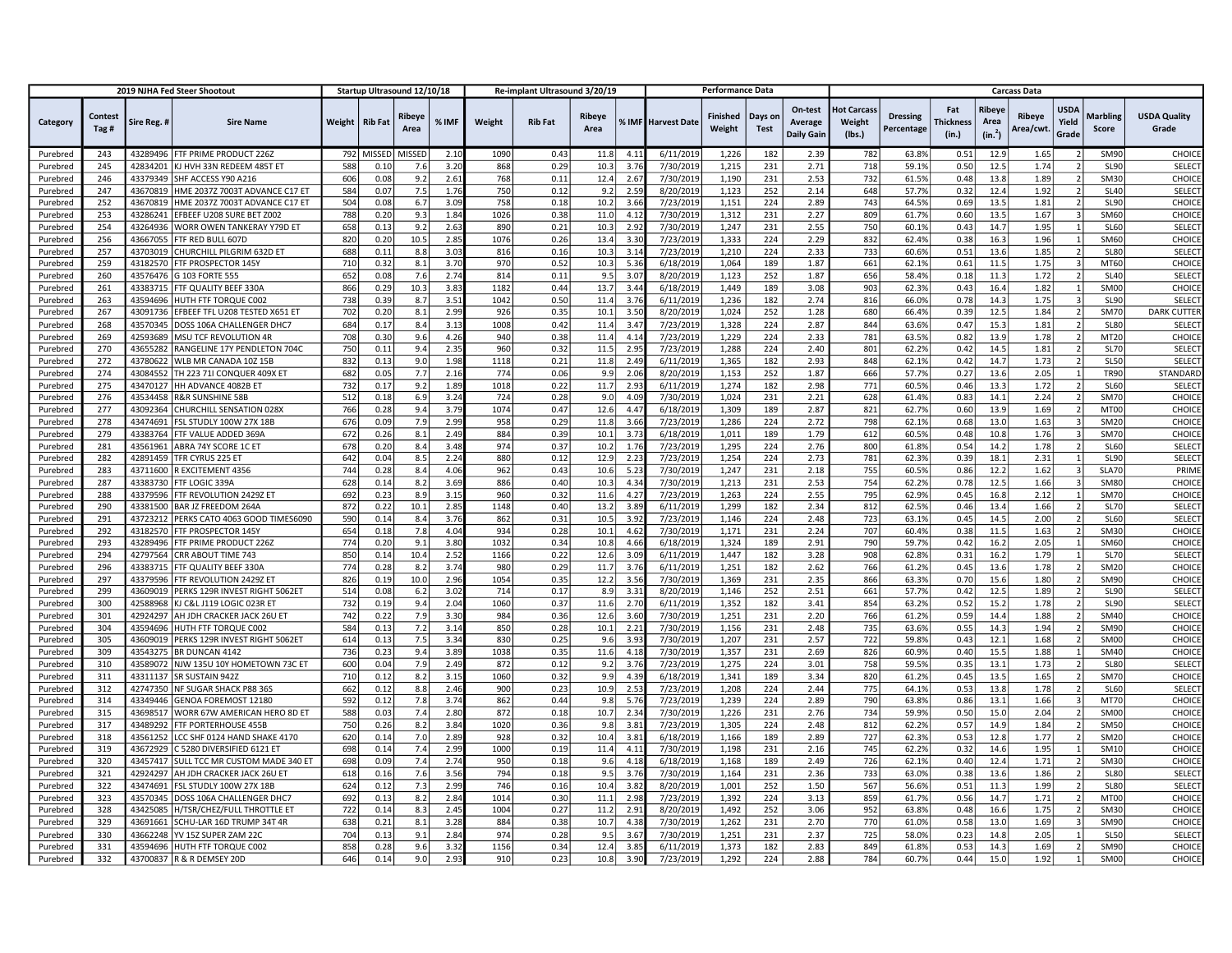|                      |                 |                      | 2019 NJHA Fed Steer Shootout                     |            |                | Startup Ultrasound 12/10/18 |                  |            | Re-implant Ultrasound 3/20/19 |                       |                  |                           | <b>Performance Data</b>   |                        |                                         |                                        |                               |                           |                                       | <b>Carcass Data</b> |                               |                            |                              |
|----------------------|-----------------|----------------------|--------------------------------------------------|------------|----------------|-----------------------------|------------------|------------|-------------------------------|-----------------------|------------------|---------------------------|---------------------------|------------------------|-----------------------------------------|----------------------------------------|-------------------------------|---------------------------|---------------------------------------|---------------------|-------------------------------|----------------------------|------------------------------|
| Category             | Contest<br>Tag# | Sire Reg. #          | <b>Sire Name</b>                                 | Weight     | <b>Rib Fat</b> | Ribeye<br>Area              | % IMF            | Weight     | <b>Rib Fat</b>                | <b>Ribeye</b><br>Area |                  | <b>% IMF Harvest Date</b> | <b>Finished</b><br>Weight | Days on<br><b>Test</b> | On-test<br>Average<br><b>Daily Gain</b> | <b>Hot Carcass</b><br>Weight<br>(Ibs.) | <b>Dressing</b><br>Percentage | Fat<br>Thickness<br>(in.) | Ribeye<br>Area<br>(in. <sup>2</sup> ) | Ribeye<br>Area/cwt  | <b>USDA</b><br>Yield<br>Grade | <b>Marbling</b><br>Score   | <b>USDA Quality</b><br>Grade |
| Purebred             | 243             | 43289496             | FTF PRIME PRODUCT 226Z                           | 792        | MISSED         | MISSED                      | 2.10             | 1090       | 0.43                          | 11.8                  | 4.1              | 6/11/2019                 | 1,226                     | 182                    | 2.39                                    | 782                                    | 63.8%                         | 0.51                      | 12.9                                  | 1.65                |                               | SM90                       | CHOICE                       |
| Purebred             | 245             | 42834201             | KJ HVH 33N REDEEM 485T ET                        | 588        | 0.10           | 7.6                         | 3.20             | 868        | 0.29                          | 10.3                  | 3.7              | 7/30/2019                 | 1,215                     | 231                    | 2.71                                    | 718                                    | 59.1%                         | 0.50                      | 12.5                                  | 1.74                |                               | SL90                       | SELECT                       |
| Purebred             | 246             | 43379349             | SHF ACCESS Y90 A216                              | 606        | 0.08           | 9.2                         | 2.61             | 768        | 0.11                          | 12.4                  | 2.6              | 7/30/2019                 | 1,190                     | 231                    | 2.53                                    | 732                                    | 61.5%                         | 0.48                      | 13.8                                  | 1.89                |                               | SM30                       | CHOICE                       |
| Purebred             | 247             | 43670819             | HME 2037Z 7003T ADVANCE C17 ET                   | 584        | 0.07           | 7.5                         | 1.76             | 750        | 0.12                          | 9.2                   | 2.5              | 8/20/2019                 | 1,123                     | 252                    | 2.14                                    | 648                                    | 57.7%                         | 0.32                      | 12.4                                  | 1.92                |                               | <b>SL40</b>                | <b>SELECT</b>                |
| Purebrec             | 252             | 43670819             | HME 2037Z 7003T ADVANCE C17 ET                   | 504        | 0.08           | 6.7                         | 3.09             | 758        | 0.18                          | 10.2                  | 3.6              | 7/23/2019                 | 1,151                     | 224                    | 2.89                                    | 743                                    | 64.5%                         | 0.69                      | 13.                                   | 1.81                |                               | <b>SL90</b>                | CHOICE                       |
| Purebred             | 253             | 43286241             | EFBEEF U208 SURE BET Z002                        | 788        | 0.20           | 9.3                         | 1.84             | 1026       | 0.38                          | 11.0                  | 4.1              | 7/30/2019                 | 1,312                     | 231                    | 2.27                                    | 809                                    | 61.7%                         | 0.60                      | 13.5                                  | 1.67                |                               | <b>SM60</b>                | CHOICE                       |
| Purebred             | 254             | 43264936             | WORR OWEN TANKERAY Y79D ET                       | 658        | 0.13           | 9.2                         | 2.63             | 890        | 0.21                          | 10.3                  | 2.9              | 7/30/2019                 | 1,247                     | 231                    | 2.55                                    | 750                                    | 60.1%                         | 0.43                      | 14.7                                  | 1.95                |                               | <b>SL60</b>                | SELECT                       |
| Purebred             | 256             | 43667055             | FTF RED BULL 607D                                | 820        | 0.20           | 10.5                        | 2.85             | 1076       | 0.26                          | 13.4                  | 3.3              | 7/23/2019                 | 1,333                     | 224                    | 2.29                                    | 832                                    | 62.4%                         | 0.38                      | 16.3                                  | 1.96                |                               | <b>SM60</b>                | CHOICE                       |
| Purebred             | 257             | 43703019             | CHURCHILL PILGRIM 632D ET                        | 688        | 0.11           | 8.8                         | 3.03             | 816        | 0.16                          | 10.3                  | 3.1              | 7/23/2019                 | 1,210                     | 224                    | 2.33                                    | 733                                    | 60.6%                         | 0.51                      | 13.6                                  | 1.85                |                               | <b>SL80</b>                | <b>SELECT</b>                |
| Purebred             | 259             | 43182570             | FTF PROSPECTOR 145Y                              | 710        | 0.32           | 8.1                         | 3.70             | 970        | 0.52                          | 10.3                  | 5.3              | 6/18/2019                 | 1,064                     | 189                    | 1.87                                    | 661                                    | 62.1%                         | 0.61                      | 11.5                                  | 1.75                |                               | MT60                       | CHOICE                       |
| Purebred             | 260             | 43576476             | G 103 FORTE 555                                  | 652        | 0.08           | 7.6                         | 2.74             | 814        | 0.11                          | 9.5                   | 3.0              | 8/20/2019                 | 1,123                     | 252                    | 1.87                                    | 656                                    | 58.4%                         | 0.18                      | 11.3                                  | 1.72                |                               | <b>SL40</b>                | SELECT                       |
| Purebred             | 261             | 43383715             | FTF QUALITY BEEF 330A                            | 866        | 0.29           | 10.3                        | 3.8              | 1182       | 0.44                          | 13.7                  | 3.4              | 6/18/2019                 | 1,449                     | 189                    | 3.08                                    | 903                                    | 62.3%                         | 0.43                      | 16.4                                  | 1.82                |                               | <b>SM00</b>                | CHOICE                       |
| Purebred             | 263             | 43594696             | HUTH FTF TORQUE C002                             | 738        | 0.39           | 8.7                         | 3.51             | 1042       | 0.50                          | 11.4                  | 3.7              | 6/11/2019                 | 1,236                     | 182                    | 2.74                                    | 816                                    | 66.0%                         | 0.78                      | 14.3                                  | 1.75                |                               | SL90                       | SELECT                       |
| Purebred             | 267             | 43091736             | EFBEEF TFL U208 TESTED X651 ET                   | 702        | 0.20           | 8.1                         | 2.99             | 926        | 0.35                          | 10.1                  | 3.5              | 8/20/2019                 | 1,024                     | 252                    | 1.28                                    | 680                                    | 66.4%                         | 0.39                      | 12.5                                  | 1.84                |                               | <b>SM70</b>                | <b>DARK CUTTER</b>           |
| Purebred             | 268             | 43570345             | DOSS 106A CHALLENGER DHC7                        | 684        | 0.17           | 8.4                         | 3.1              | 1008       | 0.42                          | 11.4                  | 3.4              | 7/23/2019                 | 1,328                     | 224                    | 2.87                                    | 844                                    | 63.6%                         | 0.47                      | 15.3                                  | 1.81                |                               | <b>SL80</b>                | <b>SELECT</b>                |
| Purebred             | 269             | 42593689             | MSU TCF REVOLUTION 4R                            | 708        | 0.30           | 9.6                         | 4.26             | 940        | 0.38                          | 11.4                  | 4.1              | 7/23/2019                 | 1,229                     | 224                    | 2.33                                    | 781                                    | 63.5%                         | 0.82                      | 13.9                                  | 1.78                |                               | MT20                       | CHOICE                       |
| Purebred             | 270             | 43655282             | RANGELINE 17Y PENDLETON 704C                     | 750        | 0.11           | 9.4                         | 2.35             | 960        | 0.32                          | 11.5                  | 2.9              | 7/23/2019                 | 1,288                     | 224                    | 2.40                                    | 801                                    | 62.2%                         | 0.42                      | 14.5                                  | 1.81                |                               | <b>SL70</b>                | SELECT                       |
| Purebred             | 272             | 43780622             | WLB MR CANADA 10Z 15B                            | 832        | 0.13           | 9.0                         | 1.98             | 1118       | 0.21                          | 11.8                  | 2.4              | 6/11/2019                 | 1,365                     | 182                    | 2.93                                    | 848                                    | 62.1%                         | 0.42                      | 14.7                                  | 1.73                |                               | <b>SL50</b>                | SELECT                       |
| Purebred             | 274             | 43084552             | TH 223 71I CONQUER 409X ET                       | 682        | 0.05           | 7.7                         | 2.16             | 774        | 0.06                          | 9.9                   | 2.0              | 8/20/2019                 | 1,153                     | 252                    | 1.87                                    | 666                                    | 57.7%                         | 0.27                      | 13.6                                  | 2.05                |                               | <b>TR90</b>                | STANDARD                     |
| Purebred             | 275             | 43470127             | HH ADVANCE 4082B ET                              | 732        | 0.17           | 9.2                         | 1.89             | 1018       | 0.22                          | 11.7                  | 2.9              | 6/11/2019                 | 1,274                     | 182                    | 2.98                                    | 771                                    | 60.5%                         | 0.46                      | 13.3                                  | 1.72                |                               | <b>SL60</b>                | SELECT                       |
| Purebred             | 276             | 43534458             | R&R SUNSHINE 58B                                 | 512        | 0.18           | 6.9                         | 3.24             | 724        | 0.28                          | 9.0                   | 4.0              | 7/30/2019                 | 1,024                     | 231                    | 2.21                                    | 628                                    | 61.4%                         | 0.83                      | 14.1                                  | 2.24                |                               | <b>SM70</b>                | CHOICE                       |
| Purebred             | 277             | 43092364             | CHURCHILL SENSATION 028X                         | 766        | 0.28           | 9.4                         | 3.79             | 1074       | 0.47                          | 12.6                  | 4.4              | 6/18/2019                 | 1,309                     | 189                    | 2.87                                    | 821                                    | 62.7%                         | 0.60                      | 13.9                                  | 1.69                |                               | MT00                       | CHOICE                       |
| Purebred             | 278             | 43474691             | FSL STUDLY 100W 27X 18B                          | 676        | 0.09           | 7.9                         | 2.99             | 958        | 0.29                          | 11.8                  | 3.6              | 7/23/2019                 | 1,286                     | 224                    | 2.72                                    | 798                                    | 62.1%                         | 0.68                      | 13.0                                  | 1.63                |                               | <b>SM20</b>                | CHOICE                       |
| Purebred             | 279             | 43383764             | FTF VALUE ADDED 369A                             | 672        | 0.26           | 8.1                         | 2.49             | 884        | 0.39                          | 10.1                  | 3.7              | 6/18/2019                 | 1,011                     | 189                    | 1.79                                    | 612                                    | 60.5%                         | 0.48                      | 10.8                                  | 1.76                |                               | <b>SM70</b>                | CHOICE                       |
| Purebred             | 281             | 43561961             | ABRA 74Y SCORE 1C ET                             | 678        | 0.20           | 8.4                         | 3.48             | 974        | 0.37                          | 10.2                  | 1.7 <sub>0</sub> | 7/23/2019                 | 1,295                     | 224                    | 2.76                                    | 800                                    | 61.8%                         | 0.54                      | 14.2                                  | 1.78                |                               | <b>SL60</b>                | <b>SELECT</b>                |
| Purebred             | 282             | 42891459             | TFR CYRUS 225 ET                                 | 642        | 0.04           | 8.5                         | 2.24             | 880        | 0.12                          | 12.9                  | 2.2              | 7/23/2019                 | 1,254                     | 224                    | 2.73                                    | 781                                    | 62.3%                         | 0.39                      | 18.1                                  | 2.31                |                               | SL90                       | <b>SELECT</b>                |
| Purebred             | 283             | 43711600             | R EXCITEMENT 4356                                | 744        | 0.28           | 8.4                         | 4.06             | 962        | 0.43                          | 10.6                  | 5.2              | 7/30/2019                 | 1,247                     | 231                    | 2.18                                    | 755                                    | 60.5%                         | 0.86                      | 12.2                                  | 1.62                |                               | <b>SLA70</b>               | PRIME                        |
| Purebred             | 287             | 43383730             | FTF LOGIC 339A                                   | 628        | 0.14           | 8.2                         | 3.69             | 886        | 0.40                          | 10.3                  | 4.3              | 7/30/2019                 | 1,213                     | 231                    | 2.53                                    | 754                                    | 62.2%                         | 0.78                      | 12.5                                  | 1.66                |                               | <b>SM80</b>                | CHOICE                       |
| Purebred             | 288             | 43379596             | FTF REVOLUTION 2429Z ET                          | 692        | 0.23           | 8.9                         | 3.15             | 960        | 0.32                          | 11.6                  | 4.2              | 7/23/2019                 | 1,263                     | 224                    | 2.55                                    | 795                                    | 62.9%                         | 0.45                      | 16.8                                  | 2.12                |                               | <b>SM70</b>                | CHOICE                       |
| Purebred             | 290             | 43381500             | BAR JZ FREEDOM 264A                              | 872        | 0.22           | 10.1                        | 2.85             | 1148       | 0.40                          | 13.2                  | 3.8              | 6/11/2019                 | 1,299                     | 182                    | 2.34                                    | 812                                    | 62.5%                         | 0.46                      | 13.4                                  | 1.66                |                               | <b>SL70</b>                | SELECT                       |
| Purebred             | 291             |                      | 43723212 PERKS CATO 4063 GOOD TIMES6090          | 590        | 0.14           | 8.4                         | 3.76             | 862        | 0.31                          | 10.5                  | 3.9              | 7/23/2019                 | 1,146                     | 224                    | 2.48                                    | 723                                    | 63.1%                         | 0.45                      | 14.5                                  | 2.00                |                               | <b>SL60</b>                | SELECT                       |
| Purebred             | 292             |                      | 43182570 FTF PROSPECTOR 145Y                     | 654        | 0.18           | 7.8                         | 4.04             | 934        | 0.28                          | 10.1                  | 4.6              | 7/30/2019                 | 1,171                     | 231                    | 2.24                                    | 707                                    | 60.4%                         | 0.38                      | 11.5                                  | 1.63                |                               | <b>SM30</b>                | CHOICE                       |
| Purebred             | 293             | 43289496             | FTF PRIME PRODUCT 226Z                           | 774        | 0.20           | 9.1                         | 3.80             | 1032       | 0.34                          | 10.8                  | 4.6              | 6/18/2019                 | 1,324                     | 189                    | 2.91                                    | 790                                    | 59.7%                         | 0.42                      | 16.2                                  | 2.05                |                               | <b>SM60</b>                | CHOICE                       |
| Purebred             | 294             |                      | 42797564 CRR ABOUT TIME 743                      | 850        | 0.14           | 10.4                        | 2.52             | 1166       | 0.22                          | 12.6                  | 3.0              | 6/11/2019                 | 1,447                     | 182                    | 3.28                                    | 908                                    | 62.8%                         | 0.31                      | 16.2                                  | 1.79                |                               | <b>SL70</b>                | <b>SELECT</b>                |
| Purebred             | 296             | 43383715             | <b>FTF QUALITY BEEF 330A</b>                     | 774        | 0.28           | 8.2                         | 3.74             | 980        | 0.29                          | 11.7                  | 3.7 <sub>0</sub> | 6/11/2019                 | 1,251                     | 182                    | 2.62                                    | 766                                    | 61.2%                         | 0.45                      | 13.6                                  | 1.78                |                               | <b>SM20</b>                | CHOICE                       |
| Purebred             | 297             |                      | 43379596   FTF REVOLUTION 2429Z ET               | 826        | 0.19           | 10.0                        | 2.96             | 1054       | 0.35                          | 12.2                  | 3.5              | 7/30/2019                 | 1,369                     | 231                    | 2.35                                    | 866                                    | 63.3%                         | 0.70                      | 15.6                                  | 1.80                |                               | <b>SM90</b>                | CHOICE                       |
| Purebred             | 299             |                      | 43609019 PERKS 129R INVEST RIGHT 5062ET          | 514        | 0.08           | 6.2                         | 3.02             | 714        | 0.17                          | 8.9                   | 3.3              | 8/20/2019                 | 1,146                     | 252                    | 2.51                                    | 661                                    | 57.7%                         | 0.42                      | 12.5                                  | 1.89                |                               | <b>SL90</b>                | SELECT                       |
| Purebred             | 300             |                      | 42588968 KJ C&L J119 LOGIC 023R ET               | 732        | 0.19           | 9.4                         | 2.04             | 1060       | 0.37                          | 11.6                  | 2.7              | 6/11/2019                 | 1,352                     | 182                    | 3.41                                    | 854                                    | 63.2%                         | 0.52                      | 15.2                                  | 1.78                |                               | SL90                       | SELECT                       |
| Purebred             | 301             | 42924297             | AH JDH CRACKER JACK 26U ET                       | 742        | 0.22           | 7.9                         | 3.3 <sub>0</sub> | 984        | 0.36                          | 12.6                  | 3.6              | 7/30/2019                 | 1,251                     | 231                    | 2.20                                    | 766                                    | 61.2%                         | 0.59                      | 14.4                                  | 1.88                |                               | <b>SM40</b>                | CHOICE                       |
| Purebred             | 304             | 43594696<br>43609019 | HUTH FTF TORQUE C002                             | 584        | 0.13           | 7.2<br>7.5                  | 3.14<br>3.34     | 850<br>830 | 0.28                          | 10.1                  | 2.2<br>3.9       | 7/30/2019                 | 1,156                     | 231<br>231             | 2.48                                    | 735<br>722                             | 63.6%<br>59.8%                | 0.55                      | 14.3                                  | 1.94<br>1.68        |                               | <b>SM90</b><br><b>SM00</b> | CHOICE<br>CHOICE             |
| Purebred             | 305<br>309      | 43543275             | PERKS 129R INVEST RIGHT 5062ET<br>BR DUNCAN 4142 | 614<br>736 | 0.13<br>0.23   | 9.4                         | 3.89             | 1038       | 0.25<br>0.35                  | 9.6<br>11.6           | 4.1              | 7/30/2019<br>7/30/2019    | 1,207                     | 231                    | 2.57<br>2.69                            | 826                                    | 60.9%                         | 0.43<br>0.40              | 12.1<br>15.5                          | 1.88                |                               | <b>SM40</b>                | CHOICE                       |
| Purebred<br>Purebred | 310             | 43589072             | NJW 135U 10Y HOMETOWN 73C ET                     | 600        | 0.04           | 7.9                         | 2.49             | 872        | 0.12                          | 9.2                   | 3.7              | 7/23/2019                 | 1,357<br>1,275            | 224                    | 3.01                                    | 758                                    | 59.5%                         | 0.35                      | 13.1                                  | 1.73                |                               | <b>SL80</b>                | SELECT                       |
|                      | 311             |                      | 43311137 SR SUSTAIN 942Z                         | 710        | 0.12           | 8.2                         | 3.15             | 1060       | 0.32                          | 9.9                   | 4.3              | 6/18/2019                 | 1,341                     | 189                    | 3.34                                    | 820                                    | 61.2%                         | 0.45                      | 13.5                                  | 1.65                |                               | <b>SM70</b>                | CHOICE                       |
| Purebred<br>Purebred | 312             | 42747350             | NF SUGAR SHACK P88 36S                           | 662        | 0.12           | 8.8                         | 2.46             | 900        | 0.23                          | 10.9                  | 2.5              | 7/23/2019                 | 1,208                     | 224                    | 2.44                                    | 775                                    | 64.1%                         | 0.53                      | 13.8                                  | 1.78                |                               | <b>SL60</b>                | SELECT                       |
| Purebred             | 314             | 43349446             | GENOA FOREMOST 12180                             | 592        | 0.12           | 7.8                         | 3.74             | 862        | 0.44                          | 9.8                   | 5.7              | 7/23/2019                 | 1,239                     | 224                    | 2.89                                    | 790                                    | 63.8%                         | 0.86                      | 13.1                                  | 1.66                |                               | MT70                       | CHOICE                       |
| Purebred             | 315             | 43698517             | WORR 67W AMERICAN HERO 8D ET                     | 588        | 0.03           | 7.4                         | 2.8C             | 872        | 0.18                          | 10.7                  | 2.3              | 7/30/2019                 | 1,226                     | 231                    | 2.76                                    | 734                                    | 59.9%                         | 0.50                      | 15.0                                  | 2.04                |                               | <b>SM00</b>                | CHOICE                       |
| Purebred             | 317             | 43489292             | FTF PORTERHOUSE 455B                             | 750        | 0.26           | 8.2                         | 3.84             | 1020       | 0.36                          | 9.8                   | 3.8              | 7/23/2019                 | 1,305                     | 224                    | 2.48                                    | 812                                    | 62.2%                         | 0.57                      | 14.9                                  | 1.84                |                               | <b>SM50</b>                | CHOICE                       |
| Purebred             | 318             | 43561252             | LCC SHF 0124 HAND SHAKE 4170                     | 620        | 0.14           | 7.0                         | 2.89             | 928        | 0.32                          | 10.4                  | 3.8              | 6/18/2019                 | 1,166                     | 189                    | 2.89                                    | 727                                    | 62.3%                         | 0.53                      | 12.8                                  | 1.77                |                               | <b>SM20</b>                | CHOICE                       |
| Purebred             | 319             |                      | 43672929 C 5280 DIVERSIFIED 6121 ET              | 698        | 0.14           | 7.4                         | 2.99             | 1000       | 0.19                          | 11.4                  | 4.1              | 7/30/2019                 | 1,198                     | 231                    | 2.16                                    | 745                                    | 62.2%                         | 0.32                      | 14.6                                  | 1.95                |                               | SM10                       | CHOICE                       |
| Purebred             | 320             |                      | 43457417 SULL TCC MR CUSTOM MADE 340 ET          | 698        | 0.09           | 7.4                         | 2.74             | 950        | 0.18                          | 9.6                   | 4.1              | 6/18/2019                 | 1,168                     | 189                    | 2.49                                    | 726                                    | 62.1%                         | 0.40                      | 12.4                                  | 1.71                |                               | <b>SM30</b>                | CHOICE                       |
| Purebred             | 321             | 42924297             | AH JDH CRACKER JACK 26U ET                       | 618        | 0.16           | 7.6                         | 3.56             | 794        | 0.18                          | 9.5                   | 3.7              | 7/30/2019                 | 1,164                     | 231                    | 2.36                                    | 733                                    | 63.0%                         | 0.38                      | 13.6                                  | 1.86                |                               | <b>SL80</b>                | SELECT                       |
| Purebred             | 322             | 43474691             | FSL STUDLY 100W 27X 18B                          | 624        | 0.12           | 7.3                         | 2.99             | 746        | 0.16                          | 10.4                  | 3.8              | 8/20/2019                 | 1,001                     | 252                    | 1.50                                    | 567                                    | 56.6%                         | 0.51                      | 11.3                                  | 1.99                |                               | <b>SL80</b>                | SELECT                       |
| Purebred             | 323             | 43570345             | DOSS 106A CHALLENGER DHC7                        | 692        | 0.13           | 8.2                         | 2.84             | 1014       | 0.30                          | 11.1                  | 2.9              | 7/23/2019                 | 1,392                     | 224                    | 3.13                                    | 859                                    | 61.7%                         | 0.56                      | 14.7                                  | 1.71                |                               | MT00                       | CHOICE                       |
| Purebred             | 328             | 43425085             | H/TSR/CHEZ/FULL THROTTLE ET                      | 722        | 0.14           | 8.3                         | 2.45             | 1004       | 0.27                          | 11.2                  | 2.9              | 8/20/2019                 | 1,492                     | 252                    | 3.06                                    | 952                                    | 63.8%                         | 0.48                      | 16.6                                  | 1.75                |                               | <b>SM30</b>                | CHOICE                       |
| Purebred             | 329             | 43691661             | SCHU-LAR 16D TRUMP 34T 4R                        | 638        | 0.21           | $8.1\,$                     | 3.28             | 884        | 0.38                          | 10.7                  | 4.3              | 7/30/2019                 | 1,262                     | 231                    | 2.70                                    | 770                                    | 61.0%                         | 0.58                      | 13.0                                  | 1.69                |                               | SM90                       | CHOICE                       |
| Purebred             | 330             | 43662248             | YV 15Z SUPER ZAM 22C                             | 704        | 0.13           | 9.1                         | 2.84             | 974        | 0.28                          | 9.5                   | 3.6              | 7/30/2019                 | 1,251                     | 231                    | 2.37                                    | 725                                    | 58.0%                         | 0.23                      | 14.8                                  | 2.05                |                               | <b>SL50</b>                | SELECT                       |
| Purebred             | 331             | 43594696             | HUTH FTF TORQUE C002                             | 858        | 0.28           | 9.6                         | 3.32             | 1156       | 0.34                          | 12.4                  | 3.8              | 6/11/2019                 | 1,373                     | 182                    | 2.83                                    | 849                                    | 61.8%                         | 0.53                      | 14.3                                  | 1.69                |                               | SM90                       | CHOICE                       |
| Purebred             | 332             |                      | 43700837 R & R DEMSEY 20D                        | 646        | 0.14           | 9.0                         | 2.93             | 910        | 0.23                          | 10.8                  | 3.90             | 7/23/2019                 | 1,292                     | 224                    | 2.88                                    | 784                                    | 60.7%                         | 0.44                      | 15.0                                  | 1.92                |                               | SM00                       | CHOICE                       |
|                      |                 |                      |                                                  |            |                |                             |                  |            |                               |                       |                  |                           |                           |                        |                                         |                                        |                               |                           |                                       |                     |                               |                            |                              |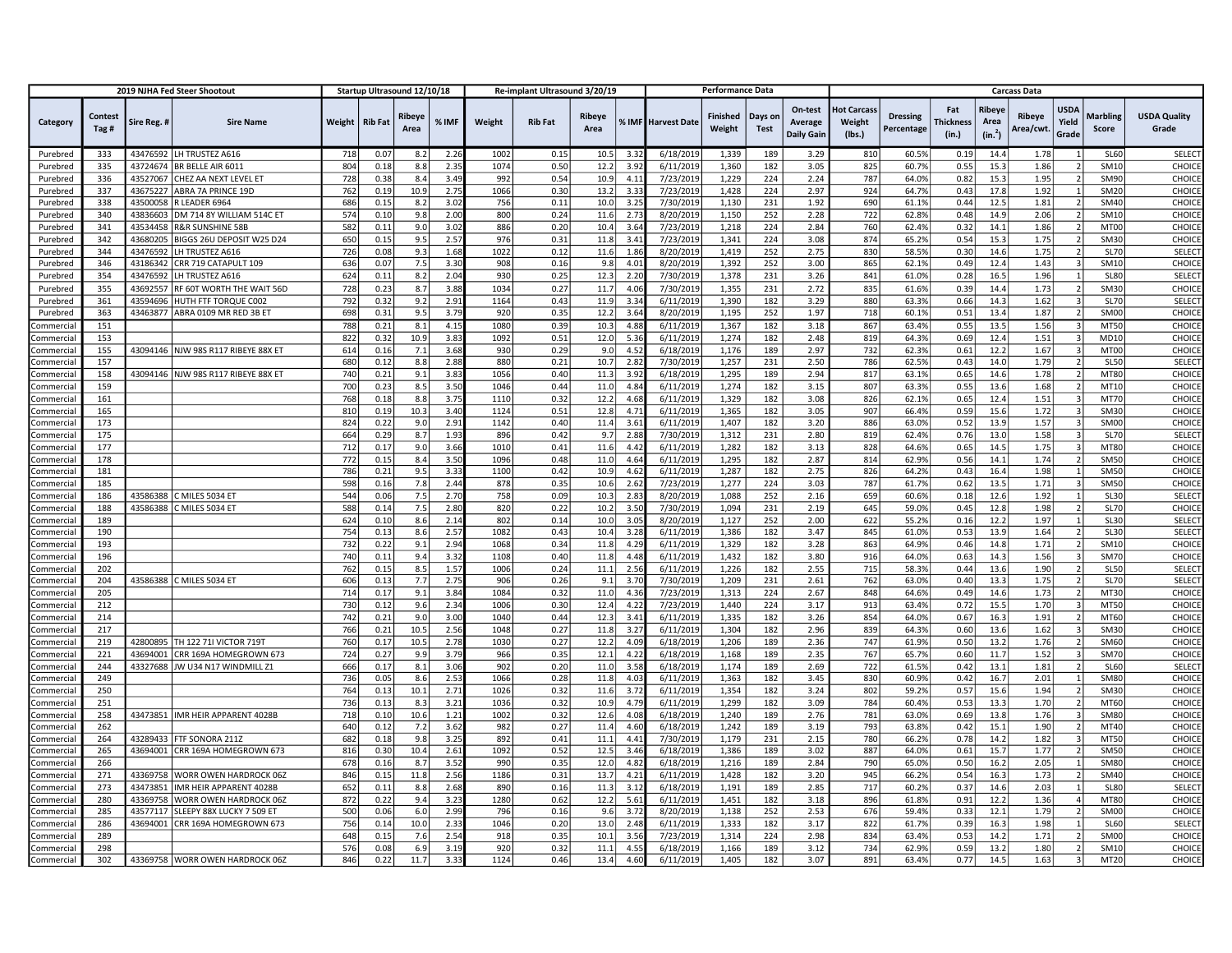|            |                 |             | 2019 NJHA Fed Steer Shootout        |        | Startup Ultrasound 12/10/18 |                |       |        | Re-implant Ultrasound 3/20/19 |                       |      |                    | <b>Performance Data</b>   |                        |                                         |                                        |                               |                           |                                       | <b>Carcass Data</b>       |                               |                          |                              |
|------------|-----------------|-------------|-------------------------------------|--------|-----------------------------|----------------|-------|--------|-------------------------------|-----------------------|------|--------------------|---------------------------|------------------------|-----------------------------------------|----------------------------------------|-------------------------------|---------------------------|---------------------------------------|---------------------------|-------------------------------|--------------------------|------------------------------|
| Category   | Contest<br>Tag# | Sire Reg. # | <b>Sire Name</b>                    | Weight | <b>Rib Fat</b>              | Ribeye<br>Area | % IMF | Weight | <b>Rib Fat</b>                | <b>Ribeye</b><br>Area |      | % IMF Harvest Date | <b>Finished</b><br>Weight | Days on<br><b>Test</b> | On-test<br>Average<br><b>Daily Gain</b> | <b>Hot Carcass</b><br>Weight<br>(Ibs.) | <b>Dressing</b><br>Percentage | Fat<br>Thickness<br>(in.) | Ribeye<br>Area<br>(in. <sup>2</sup> ) | <b>Ribeye</b><br>Area/cwt | <b>USDA</b><br>Yield<br>Grade | <b>Marbling</b><br>Score | <b>USDA Quality</b><br>Grade |
| Purebred   | 333             |             | 43476592 LH TRUSTEZ A616            | 718    | 0.07                        | 8.2            | 2.26  | 1002   | 0.15                          | 10.5                  | 3.3  | 6/18/2019          | 1,339                     | 189                    | 3.29                                    | 810                                    | 60.5%                         | 0.19                      | 14.4                                  | 1.78                      |                               | <b>SL60</b>              | <b>SELECT</b>                |
| Purebred   | 335             |             | 43724674 BR BELLE AIR 6011          | 804    | 0.18                        | 8.8            | 2.3!  | 1074   | 0.50                          | 12.2                  | 3.9  | 6/11/2019          | 1,360                     | 182                    | 3.05                                    | 825                                    | 60.7%                         | 0.55                      | 15.3                                  | 1.86                      |                               | SM10                     | CHOICE                       |
| Purebred   | 336             | 43527067    | CHEZ AA NEXT LEVEL ET               | 728    | 0.38                        | 8.4            | 3.49  | 992    | 0.54                          | 10.9                  | 4.1  | 7/23/2019          | 1,229                     | 224                    | 2.24                                    | 787                                    | 64.0%                         | 0.82                      | 15.3                                  | 1.95                      |                               | SM90                     | CHOICE                       |
| Purebred   | 337             | 43675227    | ABRA 7A PRINCE 19D                  | 762    | 0.19                        | 10.9           | 2.75  | 1066   | 0.30                          | 13.2                  | 3.3  | 7/23/2019          | 1,428                     | 224                    | 2.97                                    | 924                                    | 64.7%                         | 0.43                      | 17.8                                  | 1.92                      |                               | <b>SM20</b>              | CHOICE                       |
| Purebred   | 338             | 43500058    | R LEADER 6964                       | 686    | 0.15                        | 8.2            | 3.02  | 756    | 0.11                          | 10.0                  | 3.2  | 7/30/2019          | 1,130                     | 231                    | 1.92                                    | 690                                    | 61.1%                         | 0.44                      | 12.5                                  | 1.81                      | $\overline{\mathcal{L}}$      | <b>SM40</b>              | CHOICE                       |
| Purebred   | 340             | 43836603    | DM 714 8Y WILLIAM 514C ET           | 574    | 0.10                        | 9.8            | 2.00  | 800    | 0.24                          | 11.6                  | 2.7  | 8/20/2019          | 1,150                     | 252                    | 2.28                                    | 722                                    | 62.8%                         | 0.48                      | 14.9                                  | 2.06                      | $\overline{\phantom{a}}$      | SM10                     | CHOICE                       |
| Purebred   | 341             |             | 43534458 R&R SUNSHINE 58B           | 582    | 0.11                        | 9.0            | 3.02  | 886    | 0.20                          | 10.4                  | 3.6  | 7/23/2019          | 1,218                     | 224                    | 2.84                                    | 760                                    | 62.4%                         | 0.32                      | 14.1                                  | 1.86                      | $\overline{\phantom{a}}$      | MT00                     | CHOICE                       |
| Purebred   | 342             | 43680205    | BIGGS 26U DEPOSIT W25 D24           | 650    | 0.15                        | 9.5            | 2.57  | 976    | 0.31                          | 11.8                  | 3.4  | 7/23/2019          | 1,341                     | 224                    | 3.08                                    | 874                                    | 65.2%                         | 0.54                      | 15.3                                  | 1.75                      | $\mathcal{L}$                 | <b>SM30</b>              | CHOICE                       |
| Purebred   | 344             | 43476592    | LH TRUSTEZ A616                     | 726    | 0.08                        | 9.3            | 1.68  | 1022   | 0.12                          | 11.6                  | 1.8  | 8/20/2019          | 1,419                     | 252                    | 2.75                                    | 830                                    | 58.5%                         | 0.30                      | 14.6                                  | 1.75                      | $\overline{\phantom{a}}$      | <b>SL70</b>              | SELECT                       |
| Purebred   | 346             | 43186342    | CRR 719 CATAPULT 109                | 636    | 0.07                        | 7.5            | 3.30  | 908    | 0.16                          | 9.8                   | 4.0  | 8/20/2019          | 1,392                     | 252                    | 3.00                                    | 865                                    | 62.1%                         | 0.49                      | 12.4                                  | 1.43                      | 3                             | SM10                     | CHOICE                       |
| Purebred   | 354             | 43476592    | LH TRUSTEZ A616                     | 624    | 0.11                        | 8.2            | 2.04  | 930    | 0.25                          | 12.3                  | 2.2  | 7/30/2019          | 1,378                     | 231                    | 3.26                                    | 841                                    | 61.0%                         | 0.28                      | 16.5                                  | 1.96                      | $\mathbf{1}$                  | <b>SL80</b>              | <b>SELECT</b>                |
| Purebred   | 355             | 43692557    | RF 60T WORTH THE WAIT 56D           | 728    | 0.23                        | 8.7            | 3.88  | 1034   | 0.27                          | 11.7                  | 4.0  | 7/30/2019          | 1,355                     | 231                    | 2.72                                    | 835                                    | 61.6%                         | 0.39                      | 14.4                                  | 1.73                      | $\overline{\phantom{a}}$      | <b>SM30</b>              | CHOICE                       |
| Purebred   | 361             | 43594696    | HUTH FTF TORQUE C002                | 792    | 0.32                        | 9.2            | 2.9   | 1164   | 0.43                          | 11.9                  | 3.3  | 6/11/2019          | 1,390                     | 182                    | 3.29                                    | 880                                    | 63.3%                         | 0.66                      | 14.3                                  | 1.62                      | 3                             | <b>SL70</b>              | SELECT                       |
| Purebred   | 363             |             | 43463877 ABRA 0109 MR RED 3B ET     | 698    | 0.31                        | 9.5            | 3.79  | 920    | 0.35                          | 12.2                  | 3.6  | 8/20/2019          | 1,195                     | 252                    | 1.97                                    | 718                                    | 60.1%                         | 0.51                      | 13.4                                  | 1.87                      | $\overline{\mathcal{L}}$      | <b>SM00</b>              | CHOICE                       |
| Commercial | 151             |             |                                     | 788    | 0.21                        | 8.1            | 4.15  | 1080   | 0.39                          | 10.3                  | 4.8  | 6/11/2019          | 1,367                     | 182                    | 3.18                                    | 867                                    | 63.4%                         | 0.55                      | 13.5                                  | 1.56                      | 3                             | <b>MT50</b>              | CHOICE                       |
| Commercia  | 153             |             |                                     | 822    | 0.32                        | 10.9           | 3.83  | 1092   | 0.51                          | 12.0                  | 5.3  | 6/11/2019          | 1,274                     | 182                    | 2.48                                    | 819                                    | 64.3%                         | 0.69                      | 12.4                                  | 1.51                      | 3                             | MD10                     | CHOICE                       |
| Commercia  | 155             |             | 43094146 NJW 98S R117 RIBEYE 88X ET | 614    | 0.16                        | 7.1            | 3.68  | 930    | 0.29                          | 9.0                   | 4.5  | 6/18/2019          | 1,176                     | 189                    | 2.97                                    | 732                                    | 62.3%                         | 0.61                      | 12.2                                  | 1.67                      | $\overline{\mathbf{3}}$       | MT00                     | CHOICE                       |
| Commercia  | 157             |             |                                     | 680    | 0.12                        | 8.8            | 2.88  | 880    | 0.21                          | 10.7                  | 2.8  | 7/30/2019          | 1,257                     | 231                    | 2.50                                    | 786                                    | 62.5%                         | 0.43                      | 14.0                                  | 1.79                      | $\overline{\phantom{a}}$      | <b>SL50</b>              | SELECT                       |
| Commercia  | 158             |             | 43094146 NJW 98S R117 RIBEYE 88X ET | 740    | 0.21                        | 9.1            | 3.8   | 1056   | 0.40                          | 11.3                  | 3.9  | 6/18/2019          | 1,295                     | 189                    | 2.94                                    | 817                                    | 63.1%                         | 0.65                      | 14.6                                  | 1.78                      | $\overline{2}$                | MT80                     | CHOICE                       |
| Commercia  | 159             |             |                                     | 700    | 0.23                        | 8.5            | 3.50  | 1046   | 0.44                          | 11.0                  | 4.8  | 6/11/2019          | 1,274                     | 182                    | 3.15                                    | 807                                    | 63.3%                         | 0.55                      | 13.6                                  | 1.68                      |                               | MT10                     | CHOICE                       |
| Commercial | 161             |             |                                     | 768    | 0.18                        | 8.8            | 3.75  | 1110   | 0.32                          | 12.2                  | 4.6  | 6/11/2019          | 1,329                     | 182                    | 3.08                                    | 826                                    | 62.1%                         | 0.65                      | 12.4                                  | 1.51                      | з                             | <b>MT70</b>              | CHOICE                       |
| Commercia  | 165             |             |                                     | 810    | 0.19                        | 10.3           | 3.40  | 1124   | 0.51                          | 12.8                  | 4.7  | 6/11/2019          | 1,365                     | 182                    | 3.05                                    | 907                                    | 66.4%                         | 0.59                      | 15.6                                  | 1.72                      | 3                             | <b>SM30</b>              | CHOICE                       |
| Commercia  | 173             |             |                                     | 824    | 0.22                        | 9.0            | 2.91  | 1142   | 0.40                          | 11.4                  | 3.6  | 6/11/2019          | 1,407                     | 182                    | 3.20                                    | 886                                    | 63.0%                         | 0.52                      | 13.9                                  | 1.57                      | 3                             | <b>SM00</b>              | CHOICE                       |
| Commercia  | 175             |             |                                     | 664    | 0.29                        | 8.7            | 1.93  | 896    | 0.42                          | 9.7                   | 2.8  | 7/30/2019          | 1,312                     | 231                    | 2.80                                    | 819                                    | 62.4%                         | 0.76                      | 13.0                                  | 1.58                      | 3l                            | <b>SL70</b>              | SELECT                       |
| Commercia  | 177             |             |                                     | 712    | 0.17                        | 9.0            | 3.66  | 1010   | 0.41                          | 11.6                  | 4.4  | 6/11/2019          | 1,282                     | 182                    | 3.13                                    | 828                                    | 64.6%                         | 0.65                      | 14.5                                  | 1.75                      | 3                             | MT80                     | CHOICE                       |
| Commercia  | 178             |             |                                     | 772    | 0.15                        | 8.4            | 3.50  | 1096   | 0.48                          | 11.0                  | 4.6  | 6/11/2019          | 1,295                     | 182                    | 2.87                                    | 814                                    | 62.9%                         | 0.56                      | 14.1                                  | 1.74                      | $\overline{\phantom{a}}$      | <b>SM50</b>              | CHOICE                       |
| Commercial | 181             |             |                                     | 786    | 0.21                        | 9.5            | 3.35  | 1100   | 0.42                          | 10.9                  | 4.6  | 6/11/2019          | 1,287                     | 182                    | 2.75                                    | 826                                    | 64.2%                         | 0.43                      | 16.4                                  | 1.98                      |                               | <b>SM50</b>              | CHOICE                       |
| Commercia  | 185             |             |                                     | 598    | 0.16                        | 7.8            | 2.44  | 878    | 0.35                          | 10.6                  | 2.6  | 7/23/2019          | 1,277                     | 224                    | 3.03                                    | 787                                    | 61.7%                         | 0.62                      | 13.5                                  | 1.71                      | 3                             | <b>SM50</b>              | CHOICE                       |
| Commercia  | 186             |             | 43586388 C MILES 5034 ET            | 544    | 0.06                        | 7.5            | 2.70  | 758    | 0.09                          | 10.3                  | 2.8  | 8/20/2019          | 1,088                     | 252                    | 2.16                                    | 659                                    | 60.6%                         | 0.18                      | 12.6                                  | 1.92                      | 1                             | <b>SL30</b>              | SELECT                       |
| Commercia  | 188             |             | 43586388 C MILES 5034 ET            | 588    | 0.14                        | 7.5            | 2.80  | 820    | 0.22                          | 10.2                  | 3.5  | 7/30/2019          | 1,094                     | 231                    | 2.19                                    | 645                                    | 59.0%                         | 0.45                      | 12.8                                  | 1.98                      | $\overline{\phantom{a}}$      | <b>SL70</b>              | CHOICE                       |
| Commercial | 189             |             |                                     | 624    | 0.10                        | 8.6            | 2.14  | 802    | 0.14                          | 10.0                  | 3.0  | 8/20/2019          | 1,127                     | 252                    | 2.00                                    | 622                                    | 55.2%                         | 0.16                      | 12.2                                  | 1.97                      | 1                             | <b>SL30</b>              | <b>SELECT</b>                |
| Commercia  | 190             |             |                                     | 754    | 0.13                        | 8.6            | 2.5   | 1082   | 0.43                          | 10.4                  | 3.2  | 6/11/2019          | 1,386                     | 182                    | 3.47                                    | 845                                    | 61.0%                         | 0.53                      | 13.9                                  | 1.64                      | $\overline{\mathcal{L}}$      | <b>SL30</b>              | SELECT                       |
| Commercial | 193             |             |                                     | 732    | 0.22                        | 9.1            | 2.94  | 1068   | 0.34                          | 11.8                  | 4.2  | 6/11/2019          | 1,329                     | 182                    | 3.28                                    | 863                                    | 64.9%                         | 0.46                      | 14.8                                  | 1.71                      | $\overline{2}$                | SM10                     | CHOICE                       |
| Commercia  | 196             |             |                                     | 740    | 0.11                        | 9.4            | 3.32  | 1108   | 0.40                          | 11.8                  | 4.4  | 6/11/2019          | 1,432                     | 182                    | 3.80                                    | 916                                    | 64.0%                         | 0.63                      | 14.3                                  | 1.56                      | $\overline{\mathbf{3}}$       | <b>SM70</b>              | CHOICE                       |
| Commercia  | 202             |             |                                     | 762    | 0.15                        | 8.5            | 1.57  | 1006   | 0.24                          | 11.1                  | 2.5  | 6/11/2019          | 1,226                     | 182                    | 2.55                                    | 715                                    | 58.3%                         | 0.44                      | 13.6                                  | 1.90                      | $\overline{\phantom{a}}$      | <b>SL50</b>              | SELECT                       |
| Commercia  | 204             |             | 43586388 C MILES 5034 ET            | 606    | 0.13                        | 7.7            | 2.75  | 906    | 0.26                          | 9.1                   | 3.7  | 7/30/2019          | 1,209                     | 231                    | 2.61                                    | 762                                    | 63.0%                         | 0.40                      | 13.3                                  | 1.75                      | $\overline{2}$                | <b>SL70</b>              | SELECT                       |
| Commercial | 205             |             |                                     | 714    | 0.17                        | 9.1            | 3.84  | 1084   | 0.32                          | 11.0                  | 4.3  | 7/23/2019          | 1,313                     | 224                    | 2.67                                    | 848                                    | 64.6%                         | 0.49                      | 14.6                                  | 1.73                      | $\overline{2}$                | MT30                     | CHOICE                       |
| Commercia  | 212             |             |                                     | 730    | 0.12                        | 9.6            | 2.34  | 1006   | 0.30                          | 12.4                  | 4.2  | 7/23/2019          | 1.440                     | 224                    | 3.17                                    | 913                                    | 63.4%                         | 0.72                      | 15.5                                  | 1.70                      | $\overline{\mathbf{3}}$       | <b>MT50</b>              | CHOICE                       |
| Commercia  | 214             |             |                                     | 742    | 0.21                        | 9.0            | 3.00  | 1040   | 0.44                          | 12.3                  | 3.4  | 6/11/2019          | 1,335                     | 182                    | 3.26                                    | 854                                    | 64.0%                         | 0.67                      | 16.3                                  | 1.91                      |                               | MT60                     | CHOICE                       |
| Commercial | 217             |             |                                     | 766    | 0.21                        | 10.5           | 2.56  | 1048   | 0.27                          | 11.8                  | 3.2  | 6/11/2019          | 1,304                     | 182                    | 2.96                                    | 839                                    | 64.3%                         | 0.60                      | 13.6                                  | 1.62                      | 3                             | <b>SM30</b>              | CHOICE                       |
| Commercia  | 219             |             | 42800895 TH 122 71I VICTOR 719T     | 760    | 0.17                        | 10.5           | 2.78  | 1030   | 0.27                          | 12.2                  | 4.0  | 6/18/2019          | 1,206                     | 189                    | 2.36                                    | 747                                    | 61.9%                         | 0.50                      | 13.2                                  | 1.76                      | $\overline{\phantom{a}}$      | <b>SM60</b>              | CHOICE                       |
| Commercia  | 221             | 43694001    | CRR 169A HOMEGROWN 673              | 724    | 0.27                        | 9.9            | 3.79  | 966    | 0.35                          | 12.1                  | 4.2  | 6/18/2019          | 1,168                     | 189                    | 2.35                                    | 767                                    | 65.7%                         | 0.60                      | 11.7                                  | 1.52                      |                               | <b>SM70</b>              | CHOICE                       |
| Commercial | 244             |             | 43327688 JJW U34 N17 WINDMILL Z1    | 666    | 0.17                        | 8.1            | 3.06  | 902    | 0.20                          | 11.0                  | 3.58 | 6/18/2019          | 1,174                     | 189                    | 2.69                                    | 722                                    | 61.5%                         | 0.42                      | 13.1                                  | 1.81                      | $\overline{2}$                | <b>SL60</b>              | SELECT                       |
| Commercia  | 249             |             |                                     | 736    | 0.05                        | 8.6            | 2.53  | 1066   | 0.28                          | 11.8                  | 4.0  | 6/11/2019          | 1,363                     | 182                    | 3.45                                    | 830                                    | 60.9%                         | 0.42                      | 16.7                                  | 2.01                      | 1 <sup>1</sup>                | <b>SM80</b>              | CHOICE                       |
| Commercia  | 250             |             |                                     | 764    | 0.13                        | 10.1           | 2.71  | 1026   | 0.32                          | 11.6                  | 3.7  | 6/11/2019          | 1,354                     | 182                    | 3.24                                    | 802                                    | 59.2%                         | 0.57                      | 15.6                                  | 1.94                      |                               | <b>SM30</b>              | CHOICE                       |
| Commercia  | 251             |             |                                     | 736    | 0.13                        | 8.3            | 3.21  | 1036   | 0.32                          | 10.9                  | 4.7  | 6/11/2019          | 1,299                     | 182                    | 3.09                                    | 784                                    | 60.4%                         | 0.53                      | 13.3                                  | 1.70                      | $\overline{\phantom{a}}$      | MT60                     | CHOICE                       |
| Commercia  | 258             |             | 43473851 IMR HEIR APPARENT 4028B    | 718    | 0.10                        | 10.6           | 1.21  | 1002   | 0.32                          | 12.6                  | 4.0  | 6/18/2019          | 1,240                     | 189                    | 2.76                                    | 781                                    | 63.0%                         | 0.69                      | 13.8                                  | 1.76                      | $\overline{\mathbf{3}}$       | <b>SM80</b>              | CHOICE                       |
| Commercia  | 262             |             |                                     | 640    | 0.12                        | 7.2            | 3.62  | 982    | 0.27                          | 11.4                  | 4.6  | 6/18/2019          | 1,242                     | 189                    | 3.19                                    | 793                                    | 63.8%                         | 0.42                      | 15.1                                  | 1.90                      |                               | MT40                     | CHOICE                       |
| Commercia  | 264             |             | 43289433 FTF SONORA 211Z            | 682    | 0.18                        | 9.8            | 3.25  | 892    | 0.41                          | 11.1                  | 4.4  | 7/30/2019          | 1,179                     | 231                    | 2.15                                    | 780                                    | 66.2%                         | 0.78                      | 14.2                                  | 1.82                      | 3                             | <b>MT50</b>              | CHOICE                       |
| Commercia  | 265             |             | 43694001 CRR 169A HOMEGROWN 673     | 816    | 0.30                        | 10.4           | 2.61  | 1092   | 0.52                          | 12.5                  | 3.4  | 6/18/2019          | 1,386                     | 189                    | 3.02                                    | 887                                    | 64.0%                         | 0.61                      | 15.7                                  | 1.77                      | $\overline{2}$                | <b>SM50</b>              | CHOICE                       |
| Commercia  | 266             |             |                                     | 678    | 0.16                        | 8.7            | 3.52  | 990    | 0.35                          | 12.0                  | 4.8  | 6/18/2019          | 1,216                     | 189                    | 2.84                                    | 790                                    | 65.0%                         | 0.50                      | 16.2                                  | 2.05                      |                               | <b>SM80</b>              | CHOICE                       |
| Commercial | 271             |             | 43369758 WORR OWEN HARDROCK 06Z     | 846    | 0.15                        | 11.8           | 2.56  | 1186   | 0.31                          | 13.7                  | 4.2  | 6/11/2019          | 1,428                     | 182                    | 3.20                                    | 945                                    | 66.2%                         | 0.54                      | 16.3                                  | 1.73                      |                               | <b>SM40</b>              | CHOICE                       |
| Commercia  | 273             | 43473851    | IMR HEIR APPARENT 4028B             | 652    | 0.11                        | 8.8            | 2.68  | 890    | 0.16                          | 11.3                  | 3.1  | 6/18/2019          | 1,191                     | 189                    | 2.85                                    | 717                                    | 60.2%                         | 0.37                      | 14.6                                  | 2.03                      |                               | <b>SL80</b>              | SELECT                       |
| Commercia  | 280             | 43369758    | <b>WORR OWEN HARDROCK 062</b>       | 872    | 0.22                        | 9.4            | 3.25  | 1280   | 0.62                          | 12.2                  | 5.6  | 6/11/2019          | 1,451                     | 182                    | 3.18                                    | 896                                    | 61.8%                         | 0.91                      | 12.2                                  | 1.36                      | $\overline{A}$                | <b>MT80</b>              | CHOICE                       |
| Commercia  | 285             |             | 43577117 SLEEPY 88X LUCKY 7 509 ET  | 500    | 0.06                        | 6.0            | 2.99  | 796    | 0.16                          | 9.6                   | 3.7  | 8/20/2019          | 1,138                     | 252                    | 2.53                                    | 676                                    | 59.4%                         | 0.33                      | 12.1                                  | 1.79                      |                               | SM00                     | CHOICE                       |
| Commercia  | 286             |             | 43694001 CRR 169A HOMEGROWN 673     | 756    | 0.14                        | 10.0           | 2.33  | 1046   | 0.20                          | 13.0                  | 2.48 | 6/11/2019          | 1,333                     | 182                    | 3.17                                    | 822                                    | 61.7%                         | 0.39                      | 16.3                                  | 1.98                      |                               | <b>SL60</b>              | SELECT                       |
| Commercia  | 289             |             |                                     | 648    | 0.15                        | 7.6            | 2.54  | 918    | 0.35                          | 10.1                  | 3.5  | 7/23/2019          | 1,314                     | 224                    | 2.98                                    | 834                                    | 63.4%                         | 0.53                      | 14.2                                  | 1.71                      | $\overline{\phantom{a}}$      | SM00                     | CHOICE                       |
| Commercial | 298             |             |                                     | 576    | 0.08                        | 6.9            | 3.1   | 920    | 0.32                          | 11.1                  | 4.5  | 6/18/2019          | 1,166                     | 189                    | 3.12                                    | 734                                    | 62.9%                         | 0.59                      | 13.2                                  | 1.80                      | $\overline{2}$                | SM10                     | CHOICE                       |
| Commercial | 302             |             | 43369758 WORR OWEN HARDROCK 06Z     | 846    | 0.22                        | 11.7           | 3.33  | 1124   | 0.46                          | 13.4                  | 4.60 | 6/11/2019          | 1,405                     | 182                    | 3.07                                    | 891                                    | 63.4%                         | 0.77                      | 14.5                                  | 1.63                      | 3                             | MT20                     | CHOICE                       |